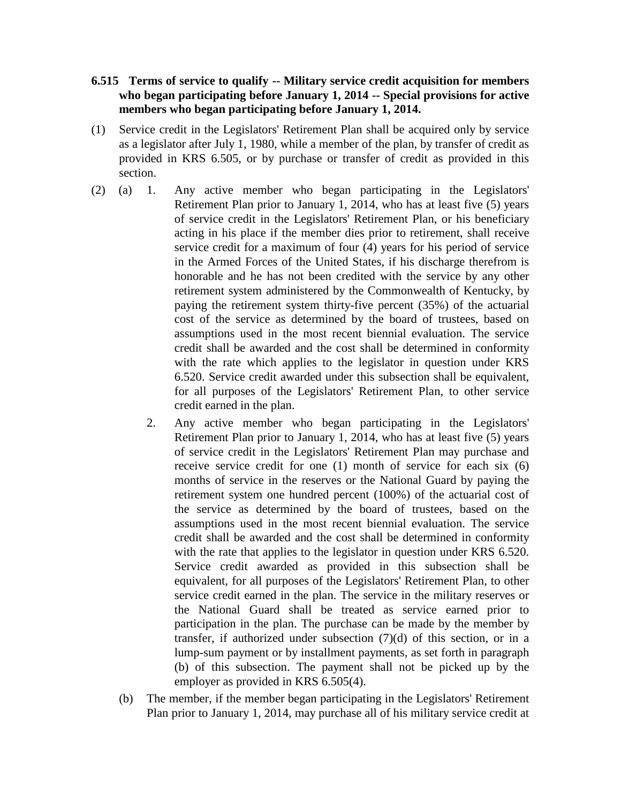## **6.515 Terms of service to qualify -- Military service credit acquisition for members who began participating before January 1, 2014 -- Special provisions for active members who began participating before January 1, 2014.**

- (1) Service credit in the Legislators' Retirement Plan shall be acquired only by service as a legislator after July 1, 1980, while a member of the plan, by transfer of credit as provided in KRS 6.505, or by purchase or transfer of credit as provided in this section.
- (2) (a) 1. Any active member who began participating in the Legislators' Retirement Plan prior to January 1, 2014, who has at least five (5) years of service credit in the Legislators' Retirement Plan, or his beneficiary acting in his place if the member dies prior to retirement, shall receive service credit for a maximum of four (4) years for his period of service in the Armed Forces of the United States, if his discharge therefrom is honorable and he has not been credited with the service by any other retirement system administered by the Commonwealth of Kentucky, by paying the retirement system thirty-five percent (35%) of the actuarial cost of the service as determined by the board of trustees, based on assumptions used in the most recent biennial evaluation. The service credit shall be awarded and the cost shall be determined in conformity with the rate which applies to the legislator in question under KRS 6.520. Service credit awarded under this subsection shall be equivalent, for all purposes of the Legislators' Retirement Plan, to other service credit earned in the plan.
	- 2. Any active member who began participating in the Legislators' Retirement Plan prior to January 1, 2014, who has at least five (5) years of service credit in the Legislators' Retirement Plan may purchase and receive service credit for one (1) month of service for each six (6) months of service in the reserves or the National Guard by paying the retirement system one hundred percent (100%) of the actuarial cost of the service as determined by the board of trustees, based on the assumptions used in the most recent biennial evaluation. The service credit shall be awarded and the cost shall be determined in conformity with the rate that applies to the legislator in question under KRS 6.520. Service credit awarded as provided in this subsection shall be equivalent, for all purposes of the Legislators' Retirement Plan, to other service credit earned in the plan. The service in the military reserves or the National Guard shall be treated as service earned prior to participation in the plan. The purchase can be made by the member by transfer, if authorized under subsection  $(7)(d)$  of this section, or in a lump-sum payment or by installment payments, as set forth in paragraph (b) of this subsection. The payment shall not be picked up by the employer as provided in KRS 6.505(4).
	- (b) The member, if the member began participating in the Legislators' Retirement Plan prior to January 1, 2014, may purchase all of his military service credit at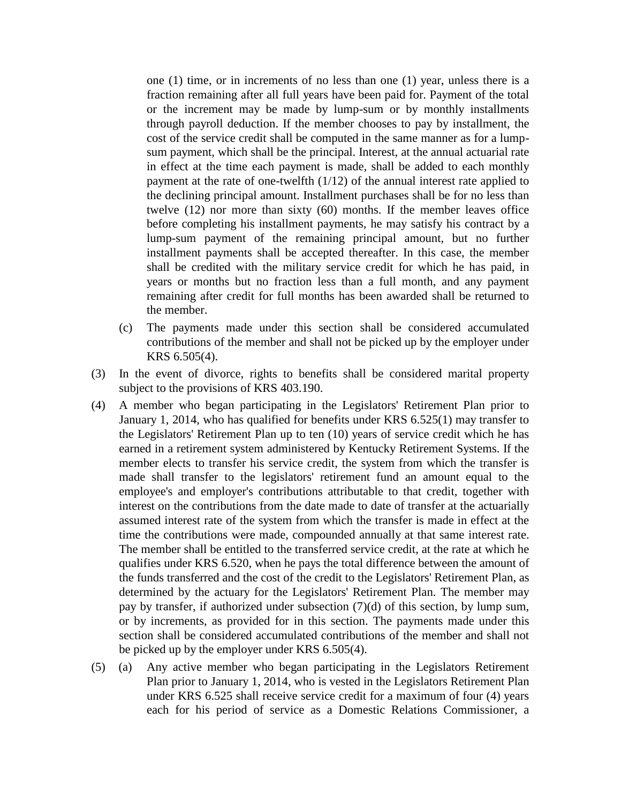one (1) time, or in increments of no less than one (1) year, unless there is a fraction remaining after all full years have been paid for. Payment of the total or the increment may be made by lump-sum or by monthly installments through payroll deduction. If the member chooses to pay by installment, the cost of the service credit shall be computed in the same manner as for a lumpsum payment, which shall be the principal. Interest, at the annual actuarial rate in effect at the time each payment is made, shall be added to each monthly payment at the rate of one-twelfth (1/12) of the annual interest rate applied to the declining principal amount. Installment purchases shall be for no less than twelve (12) nor more than sixty (60) months. If the member leaves office before completing his installment payments, he may satisfy his contract by a lump-sum payment of the remaining principal amount, but no further installment payments shall be accepted thereafter. In this case, the member shall be credited with the military service credit for which he has paid, in years or months but no fraction less than a full month, and any payment remaining after credit for full months has been awarded shall be returned to the member.

- (c) The payments made under this section shall be considered accumulated contributions of the member and shall not be picked up by the employer under KRS 6.505(4).
- (3) In the event of divorce, rights to benefits shall be considered marital property subject to the provisions of KRS 403.190.
- (4) A member who began participating in the Legislators' Retirement Plan prior to January 1, 2014, who has qualified for benefits under KRS 6.525(1) may transfer to the Legislators' Retirement Plan up to ten (10) years of service credit which he has earned in a retirement system administered by Kentucky Retirement Systems. If the member elects to transfer his service credit, the system from which the transfer is made shall transfer to the legislators' retirement fund an amount equal to the employee's and employer's contributions attributable to that credit, together with interest on the contributions from the date made to date of transfer at the actuarially assumed interest rate of the system from which the transfer is made in effect at the time the contributions were made, compounded annually at that same interest rate. The member shall be entitled to the transferred service credit, at the rate at which he qualifies under KRS 6.520, when he pays the total difference between the amount of the funds transferred and the cost of the credit to the Legislators' Retirement Plan, as determined by the actuary for the Legislators' Retirement Plan. The member may pay by transfer, if authorized under subsection (7)(d) of this section, by lump sum, or by increments, as provided for in this section. The payments made under this section shall be considered accumulated contributions of the member and shall not be picked up by the employer under KRS 6.505(4).
- (5) (a) Any active member who began participating in the Legislators Retirement Plan prior to January 1, 2014, who is vested in the Legislators Retirement Plan under KRS 6.525 shall receive service credit for a maximum of four (4) years each for his period of service as a Domestic Relations Commissioner, a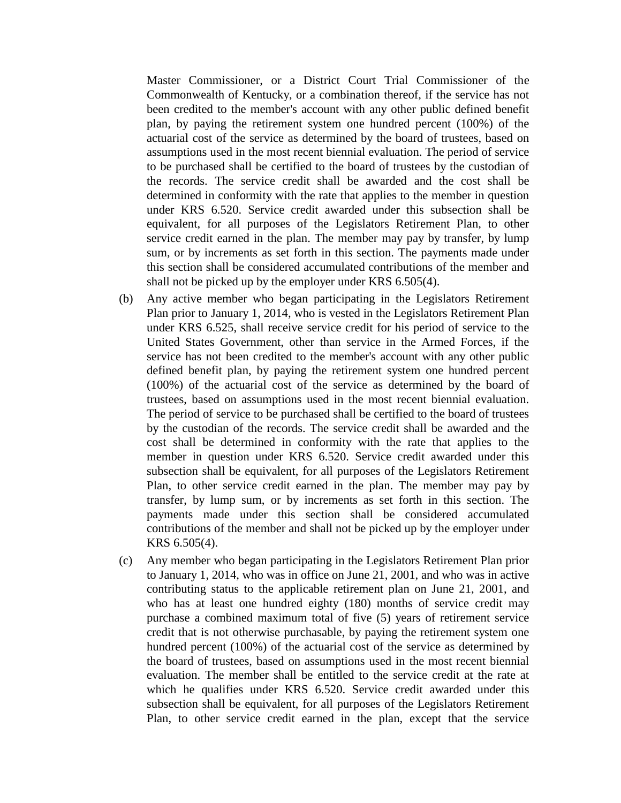Master Commissioner, or a District Court Trial Commissioner of the Commonwealth of Kentucky, or a combination thereof, if the service has not been credited to the member's account with any other public defined benefit plan, by paying the retirement system one hundred percent (100%) of the actuarial cost of the service as determined by the board of trustees, based on assumptions used in the most recent biennial evaluation. The period of service to be purchased shall be certified to the board of trustees by the custodian of the records. The service credit shall be awarded and the cost shall be determined in conformity with the rate that applies to the member in question under KRS 6.520. Service credit awarded under this subsection shall be equivalent, for all purposes of the Legislators Retirement Plan, to other service credit earned in the plan. The member may pay by transfer, by lump sum, or by increments as set forth in this section. The payments made under this section shall be considered accumulated contributions of the member and shall not be picked up by the employer under KRS 6.505(4).

- (b) Any active member who began participating in the Legislators Retirement Plan prior to January 1, 2014, who is vested in the Legislators Retirement Plan under KRS 6.525, shall receive service credit for his period of service to the United States Government, other than service in the Armed Forces, if the service has not been credited to the member's account with any other public defined benefit plan, by paying the retirement system one hundred percent (100%) of the actuarial cost of the service as determined by the board of trustees, based on assumptions used in the most recent biennial evaluation. The period of service to be purchased shall be certified to the board of trustees by the custodian of the records. The service credit shall be awarded and the cost shall be determined in conformity with the rate that applies to the member in question under KRS 6.520. Service credit awarded under this subsection shall be equivalent, for all purposes of the Legislators Retirement Plan, to other service credit earned in the plan. The member may pay by transfer, by lump sum, or by increments as set forth in this section. The payments made under this section shall be considered accumulated contributions of the member and shall not be picked up by the employer under KRS 6.505(4).
- (c) Any member who began participating in the Legislators Retirement Plan prior to January 1, 2014, who was in office on June 21, 2001, and who was in active contributing status to the applicable retirement plan on June 21, 2001, and who has at least one hundred eighty (180) months of service credit may purchase a combined maximum total of five (5) years of retirement service credit that is not otherwise purchasable, by paying the retirement system one hundred percent (100%) of the actuarial cost of the service as determined by the board of trustees, based on assumptions used in the most recent biennial evaluation. The member shall be entitled to the service credit at the rate at which he qualifies under KRS 6.520. Service credit awarded under this subsection shall be equivalent, for all purposes of the Legislators Retirement Plan, to other service credit earned in the plan, except that the service